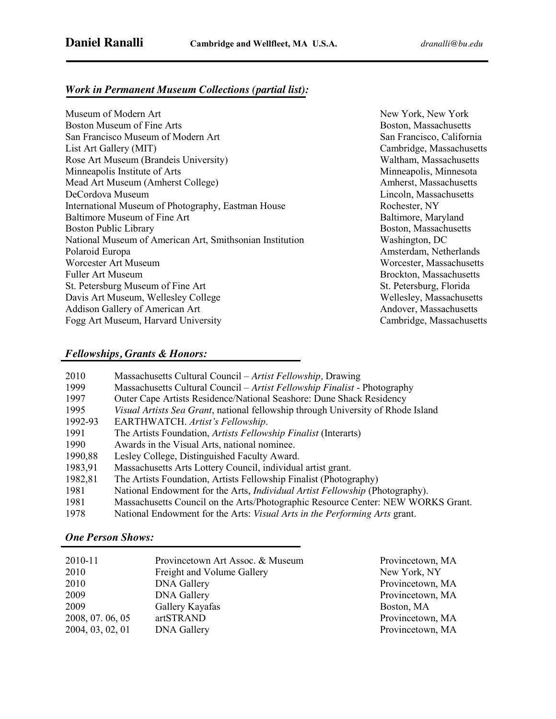### *Work in Permanent Museum Collections (partial list):*

Museum of Modern Art New York, New York, New York, New York, New York, New York, New York, New York, New York, Boston Museum of Fine Arts **Boston, Massachusetts** Boston, Massachusetts San Francisco Museum of Modern Art San Francisco, California List Art Gallery (MIT) Cambridge, Massachusetts Rose Art Museum (Brandeis University) Waltham, Massachusetts Minneapolis Institute of Arts Minneapolis, Minneapolis, Minneapolis, Minneapolis, Minneapolis, Minneapolis, Minneapolis, Minneapolis, Minneapolis, Minneapolis, Minneapolis, Minneapolis, Minneapolis, Minneapolis, Minneapoli Mead Art Museum (Amherst College) Amherst, Massachusetts DeCordova Museum Lincoln, Massachusetts International Museum of Photography, Eastman House Rochester, NY Baltimore Museum of Fine Art **Baltimore, Maryland** Baltimore, Maryland Boston Public Library **Boston**, Massachusetts **Boston**, Massachusetts National Museum of American Art, Smithsonian Institution Washington, DC Polaroid Europa **Amsterdam, Netherlands** Amsterdam, Netherlands Worcester Art Museum Worcester, Massachusetts Fuller Art Museum Brockton, Massachusetts St. Petersburg Museum of Fine Art St. Petersburg, Florida Davis Art Museum, Wellesley College Wellesley, Massachusetts Addison Gallery of American Art Andover, Massachusetts Fogg Art Museum, Harvard University Cambridge, Massachusetts

### *Fellowships, Grants & Honors:*

| 2010    | Massachusetts Cultural Council – Artist Fellowship, Drawing                              |
|---------|------------------------------------------------------------------------------------------|
| 1999    | Massachusetts Cultural Council – Artist Fellowship Finalist - Photography                |
| 1997    | Outer Cape Artists Residence/National Seashore: Dune Shack Residency                     |
| 1995    | <i>Visual Artists Sea Grant</i> , national fellowship through University of Rhode Island |
| 1992-93 | EARTHWATCH. Artist's Fellowship.                                                         |
| 1991    | The Artists Foundation, Artists Fellowship Finalist (Interarts)                          |
| 1990    | Awards in the Visual Arts, national nominee.                                             |
| 1990,88 | Lesley College, Distinguished Faculty Award.                                             |
| 1983,91 | Massachusetts Arts Lottery Council, individual artist grant.                             |
| 1982,81 | The Artists Foundation, Artists Fellowship Finalist (Photography)                        |
| 1981    | National Endowment for the Arts, <i>Individual Artist Fellowship</i> (Photography).      |
| 1981    | Massachusetts Council on the Arts/Photographic Resource Center: NEW WORKS Grant.         |
| 1978    | National Endowment for the Arts: Visual Arts in the Performing Arts grant.               |

#### *One Person Shows:*

| 2010-11          | Provincetown Art Assoc. & Museum | Provincetown, MA |
|------------------|----------------------------------|------------------|
| 2010             | Freight and Volume Gallery       | New York, NY     |
| 2010             | <b>DNA Gallery</b>               | Provincetown, MA |
| 2009             | <b>DNA Gallery</b>               | Provincetown, MA |
| 2009             | Gallery Kayafas                  | Boston, MA       |
| 2008, 07. 06, 05 | artSTRAND                        | Provincetown, MA |
| 2004, 03, 02, 01 | <b>DNA Gallery</b>               | Provincetown, MA |
|                  |                                  |                  |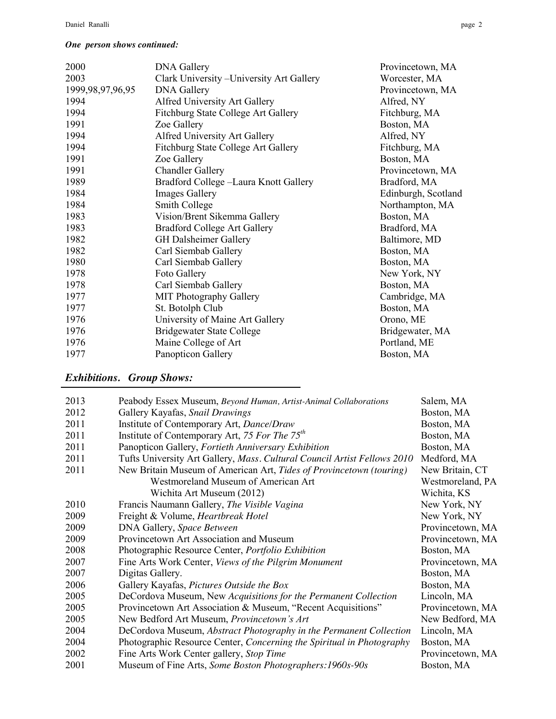#### *One person shows continued:*

| <b>DNA Gallery</b>                        | Provincetown, MA    |
|-------------------------------------------|---------------------|
| Clark University - University Art Gallery | Worcester, MA       |
| <b>DNA Gallery</b>                        | Provincetown, MA    |
| Alfred University Art Gallery             | Alfred, NY          |
| Fitchburg State College Art Gallery       | Fitchburg, MA       |
| Zoe Gallery                               | Boston, MA          |
| Alfred University Art Gallery             | Alfred, NY          |
| Fitchburg State College Art Gallery       | Fitchburg, MA       |
| Zoe Gallery                               | Boston, MA          |
| <b>Chandler Gallery</b>                   | Provincetown, MA    |
| Bradford College -Laura Knott Gallery     | Bradford, MA        |
| <b>Images Gallery</b>                     | Edinburgh, Scotland |
| Smith College                             | Northampton, MA     |
| Vision/Brent Sikemma Gallery              | Boston, MA          |
| <b>Bradford College Art Gallery</b>       | Bradford, MA        |
| <b>GH</b> Dalsheimer Gallery              | Baltimore, MD       |
| Carl Siembab Gallery                      | Boston, MA          |
| Carl Siembab Gallery                      | Boston, MA          |
| Foto Gallery                              | New York, NY        |
| Carl Siembab Gallery                      | Boston, MA          |
| <b>MIT Photography Gallery</b>            | Cambridge, MA       |
| St. Botolph Club                          | Boston, MA          |
| University of Maine Art Gallery           | Orono, ME           |
| <b>Bridgewater State College</b>          | Bridgewater, MA     |
| Maine College of Art                      | Portland, ME        |
| Panopticon Gallery                        | Boston, MA          |
|                                           |                     |

# *Exhibitions. Group Shows:*

| 2013 | Peabody Essex Museum, Beyond Human, Artist-Animal Collaborations         | Salem, MA        |
|------|--------------------------------------------------------------------------|------------------|
| 2012 | Gallery Kayafas, Snail Drawings                                          | Boston, MA       |
| 2011 | Institute of Contemporary Art, Dance/Draw                                | Boston, MA       |
| 2011 | Institute of Contemporary Art, 75 For The $75th$                         | Boston, MA       |
| 2011 | Panopticon Gallery, Fortieth Anniversary Exhibition                      | Boston, MA       |
| 2011 | Tufts University Art Gallery, Mass. Cultural Council Artist Fellows 2010 | Medford, MA      |
| 2011 | New Britain Museum of American Art, Tides of Provincetown (touring)      | New Britain, CT  |
|      | Westmoreland Museum of American Art                                      | Westmoreland, PA |
|      | Wichita Art Museum (2012)                                                | Wichita, KS      |
| 2010 | Francis Naumann Gallery, The Visible Vagina                              | New York, NY     |
| 2009 | Freight & Volume, Heartbreak Hotel                                       | New York, NY     |
| 2009 | DNA Gallery, Space Between                                               | Provincetown, MA |
| 2009 | Provincetown Art Association and Museum                                  | Provincetown, MA |
| 2008 | Photographic Resource Center, Portfolio Exhibition                       | Boston, MA       |
| 2007 | Fine Arts Work Center, Views of the Pilgrim Monument                     | Provincetown, MA |
| 2007 | Digitas Gallery.                                                         | Boston, MA       |
| 2006 | Gallery Kayafas, Pictures Outside the Box                                | Boston, MA       |
| 2005 | DeCordova Museum, New Acquisitions for the Permanent Collection          | Lincoln, MA      |
| 2005 | Provincetown Art Association & Museum, "Recent Acquisitions"             | Provincetown, MA |
| 2005 | New Bedford Art Museum, Provincetown's Art                               | New Bedford, MA  |
| 2004 | DeCordova Museum, Abstract Photography in the Permanent Collection       | Lincoln, MA      |
| 2004 | Photographic Resource Center, Concerning the Spiritual in Photography    | Boston, MA       |
| 2002 | Fine Arts Work Center gallery, Stop Time                                 | Provincetown, MA |
| 2001 | Museum of Fine Arts, Some Boston Photographers: 1960s-90s                | Boston, MA       |
|      |                                                                          |                  |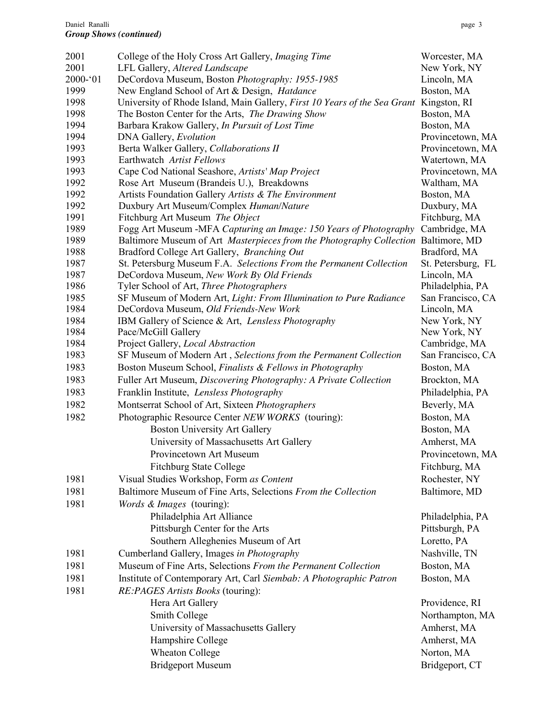| 2001        | College of the Holy Cross Art Gallery, Imaging Time                                            | Worcester, MA      |
|-------------|------------------------------------------------------------------------------------------------|--------------------|
| 2001        | LFL Gallery, Altered Landscape                                                                 | New York, NY       |
| $2000 - 01$ | DeCordova Museum, Boston Photography: 1955-1985                                                | Lincoln, MA        |
| 1999        | New England School of Art & Design, Hatdance                                                   | Boston, MA         |
| 1998        | University of Rhode Island, Main Gallery, <i>First 10 Years of the Sea Grant Kingston</i> , RI |                    |
| 1998        | The Boston Center for the Arts, The Drawing Show                                               | Boston, MA         |
| 1994        | Barbara Krakow Gallery, In Pursuit of Lost Time                                                | Boston, MA         |
| 1994        | DNA Gallery, Evolution                                                                         | Provincetown, MA   |
| 1993        | Berta Walker Gallery, Collaborations II                                                        | Provincetown, MA   |
| 1993        | Earthwatch Artist Fellows                                                                      | Watertown, MA      |
| 1993        | Cape Cod National Seashore, Artists' Map Project                                               | Provincetown, MA   |
| 1992        | Rose Art Museum (Brandeis U.), Breakdowns                                                      | Waltham, MA        |
| 1992        | Artists Foundation Gallery Artists & The Environment                                           | Boston, MA         |
| 1992        | Duxbury Art Museum/Complex Human/Nature                                                        | Duxbury, MA        |
| 1991        | Fitchburg Art Museum The Object                                                                | Fitchburg, MA      |
| 1989        | Fogg Art Museum -MFA Capturing an Image: 150 Years of Photography                              | Cambridge, MA      |
| 1989        | Baltimore Museum of Art Masterpieces from the Photography Collection Baltimore, MD             |                    |
| 1988        | Bradford College Art Gallery, Branching Out                                                    | Bradford, MA       |
| 1987        | St. Petersburg Museum F.A. Selections From the Permanent Collection                            | St. Petersburg, FL |
| 1987        | DeCordova Museum, New Work By Old Friends                                                      | Lincoln, MA        |
| 1986        | Tyler School of Art, Three Photographers                                                       | Philadelphia, PA   |
| 1985        | SF Museum of Modern Art, Light: From Illumination to Pure Radiance                             | San Francisco, CA  |
| 1984        | DeCordova Museum, Old Friends-New Work                                                         | Lincoln, MA        |
| 1984        | IBM Gallery of Science & Art, Lensless Photography                                             | New York, NY       |
| 1984        | Pace/McGill Gallery                                                                            | New York, NY       |
| 1984        | Project Gallery, Local Abstraction                                                             | Cambridge, MA      |
| 1983        | SF Museum of Modern Art, Selections from the Permanent Collection                              | San Francisco, CA  |
| 1983        | Boston Museum School, Finalists & Fellows in Photography                                       | Boston, MA         |
| 1983        | Fuller Art Museum, Discovering Photography: A Private Collection                               | Brockton, MA       |
| 1983        | Franklin Institute, Lensless Photography                                                       | Philadelphia, PA   |
| 1982        | Montserrat School of Art, Sixteen Photographers                                                | Beverly, MA        |
| 1982        | Photographic Resource Center NEW WORKS (touring):                                              | Boston, MA         |
|             | <b>Boston University Art Gallery</b>                                                           | Boston, MA         |
|             | University of Massachusetts Art Gallery                                                        | Amherst, MA        |
|             | Provincetown Art Museum                                                                        | Provincetown, MA   |
|             | <b>Fitchburg State College</b>                                                                 | Fitchburg, MA      |
| 1981        | Visual Studies Workshop, Form as Content                                                       | Rochester, NY      |
| 1981        | Baltimore Museum of Fine Arts, Selections From the Collection                                  | Baltimore, MD      |
| 1981        | Words & Images (touring):                                                                      |                    |
|             | Philadelphia Art Alliance                                                                      | Philadelphia, PA   |
|             | Pittsburgh Center for the Arts                                                                 | Pittsburgh, PA     |
|             | Southern Alleghenies Museum of Art                                                             | Loretto, PA        |
|             |                                                                                                |                    |
| 1981        | Cumberland Gallery, Images in Photography                                                      | Nashville, TN      |
| 1981        | Museum of Fine Arts, Selections From the Permanent Collection                                  | Boston, MA         |
| 1981        | Institute of Contemporary Art, Carl Siembab: A Photographic Patron                             | Boston, MA         |
| 1981        | RE:PAGES Artists Books (touring):                                                              |                    |
|             | Hera Art Gallery                                                                               | Providence, RI     |
|             | Smith College                                                                                  | Northampton, MA    |
|             | University of Massachusetts Gallery                                                            | Amherst, MA        |
|             | Hampshire College                                                                              | Amherst, MA        |
|             | <b>Wheaton College</b>                                                                         | Norton, MA         |
|             | <b>Bridgeport Museum</b>                                                                       | Bridgeport, CT     |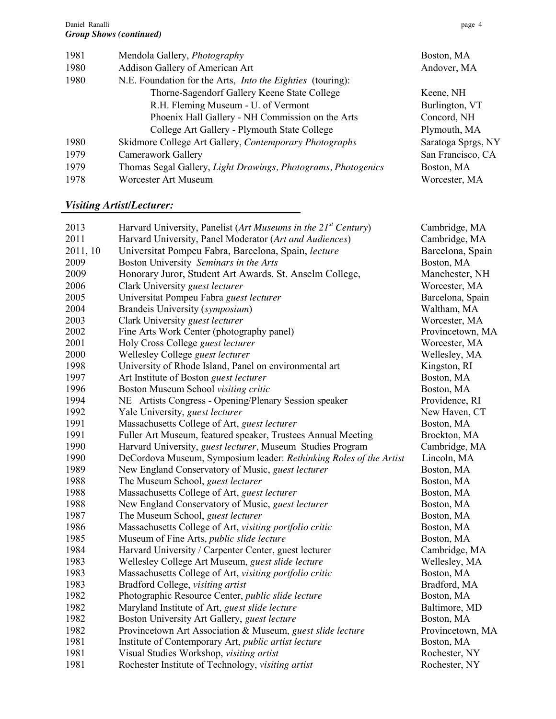| 1981 | Mendola Gallery, Photography                                  | Boston, MA         |
|------|---------------------------------------------------------------|--------------------|
| 1980 | Addison Gallery of American Art                               | Andover, MA        |
| 1980 | N.E. Foundation for the Arts, Into the Eighties (touring):    |                    |
|      | Thorne-Sagendorf Gallery Keene State College                  | Keene, NH          |
|      | R.H. Fleming Museum - U. of Vermont                           | Burlington, VT     |
|      | Phoenix Hall Gallery - NH Commission on the Arts              | Concord, NH        |
|      | College Art Gallery - Plymouth State College                  | Plymouth, MA       |
| 1980 | Skidmore College Art Gallery, Contemporary Photographs        | Saratoga Sprgs, NY |
| 1979 | Camerawork Gallery                                            | San Francisco, CA  |
| 1979 | Thomas Segal Gallery, Light Drawings, Photograms, Photogenics | Boston, MA         |
| 1978 | <b>Worcester Art Museum</b>                                   | Worcester, MA      |
|      |                                                               |                    |

### *Visiting Artist/Lecturer:*

| 2013     | Harvard University, Panelist (Art Museums in the 21st Century)     | Cambridge, MA    |
|----------|--------------------------------------------------------------------|------------------|
| 2011     | Harvard University, Panel Moderator (Art and Audiences)            | Cambridge, MA    |
| 2011, 10 | Universitat Pompeu Fabra, Barcelona, Spain, lecture                | Barcelona, Spain |
| 2009     | Boston University Seminars in the Arts                             | Boston, MA       |
| 2009     | Honorary Juror, Student Art Awards. St. Anselm College,            | Manchester, NH   |
| 2006     | Clark University guest lecturer                                    | Worcester, MA    |
| 2005     | Universitat Pompeu Fabra guest lecturer                            | Barcelona, Spain |
| 2004     | Brandeis University (symposium)                                    | Waltham, MA      |
| 2003     | Clark University guest lecturer                                    | Worcester, MA    |
| 2002     | Fine Arts Work Center (photography panel)                          | Provincetown, MA |
| 2001     | Holy Cross College guest lecturer                                  | Worcester, MA    |
| 2000     | Wellesley College guest lecturer                                   | Wellesley, MA    |
| 1998     | University of Rhode Island, Panel on environmental art             | Kingston, RI     |
| 1997     | Art Institute of Boston guest lecturer                             | Boston, MA       |
| 1996     | Boston Museum School visiting critic                               | Boston, MA       |
| 1994     | NE Artists Congress - Opening/Plenary Session speaker              | Providence, RI   |
| 1992     | Yale University, <i>guest lecturer</i>                             | New Haven, CT    |
| 1991     | Massachusetts College of Art, guest lecturer                       | Boston, MA       |
| 1991     | Fuller Art Museum, featured speaker, Trustees Annual Meeting       | Brockton, MA     |
| 1990     | Harvard University, <i>guest lecturer</i> , Museum Studies Program | Cambridge, MA    |
| 1990     | DeCordova Museum, Symposium leader: Rethinking Roles of the Artist | Lincoln, MA      |
| 1989     | New England Conservatory of Music, guest lecturer                  | Boston, MA       |
| 1988     | The Museum School, guest lecturer                                  | Boston, MA       |
| 1988     | Massachusetts College of Art, guest lecturer                       | Boston, MA       |
| 1988     | New England Conservatory of Music, guest lecturer                  | Boston, MA       |
| 1987     | The Museum School, guest lecturer                                  | Boston, MA       |
| 1986     | Massachusetts College of Art, visiting portfolio critic            | Boston, MA       |
| 1985     | Museum of Fine Arts, public slide lecture                          | Boston, MA       |
| 1984     | Harvard University / Carpenter Center, guest lecturer              | Cambridge, MA    |
| 1983     | Wellesley College Art Museum, guest slide lecture                  | Wellesley, MA    |
| 1983     | Massachusetts College of Art, visiting portfolio critic            | Boston, MA       |
| 1983     | Bradford College, visiting artist                                  | Bradford, MA     |
| 1982     | Photographic Resource Center, public slide lecture                 | Boston, MA       |
| 1982     | Maryland Institute of Art, guest slide lecture                     | Baltimore, MD    |
| 1982     | Boston University Art Gallery, <i>guest lecture</i>                | Boston, MA       |
| 1982     | Provincetown Art Association & Museum, guest slide lecture         | Provincetown, MA |
| 1981     | Institute of Contemporary Art, public artist lecture               | Boston, MA       |
| 1981     | Visual Studies Workshop, visiting artist                           | Rochester, NY    |
| 1981     | Rochester Institute of Technology, visiting artist                 | Rochester, NY    |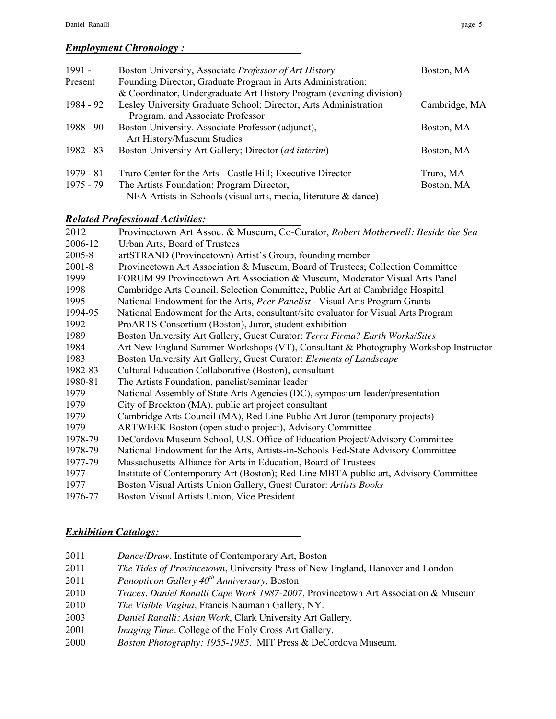### *Employment Chronology :*

| $1991 -$    | Boston University, Associate Professor of Art History               | Boston, MA    |
|-------------|---------------------------------------------------------------------|---------------|
| Present     | Founding Director, Graduate Program in Arts Administration;         |               |
|             | & Coordinator, Undergraduate Art History Program (evening division) |               |
| 1984 - 92   | Lesley University Graduate School; Director, Arts Administration    | Cambridge, MA |
|             | Program, and Associate Professor                                    |               |
| $1988 - 90$ | Boston University. Associate Professor (adjunct),                   | Boston, MA    |
|             | Art History/Museum Studies                                          |               |
| $1982 - 83$ | Boston University Art Gallery; Director (ad interim)                | Boston, MA    |
| $1979 - 81$ | Truro Center for the Arts - Castle Hill; Executive Director         | Truro, MA     |
| 1975 - 79   | The Artists Foundation; Program Director,                           | Boston, MA    |
|             | NEA Artists-in-Schools (visual arts, media, literature & dance)     |               |

## *Related Professional Activities:*

| 2012       | Provincetown Art Assoc. & Museum, Co-Curator, Robert Motherwell: Beside the Sea      |
|------------|--------------------------------------------------------------------------------------|
| 2006-12    | Urban Arts, Board of Trustees                                                        |
| 2005-8     | artSTRAND (Provincetown) Artist's Group, founding member                             |
| $2001 - 8$ | Provincetown Art Association & Museum, Board of Trustees; Collection Committee       |
| 1999       | FORUM 99 Provincetown Art Association & Museum, Moderator Visual Arts Panel          |
| 1998       | Cambridge Arts Council. Selection Committee, Public Art at Cambridge Hospital        |
| 1995       | National Endowment for the Arts, Peer Panelist - Visual Arts Program Grants          |
| 1994-95    | National Endowment for the Arts, consultant/site evaluator for Visual Arts Program   |
| 1992       | ProARTS Consortium (Boston), Juror, student exhibition                               |
| 1989       | Boston University Art Gallery, Guest Curator: Terra Firma? Earth Works/Sites         |
| 1984       | Art New England Summer Workshops (VT), Consultant & Photography Workshop Instructor  |
| 1983       | Boston University Art Gallery, Guest Curator: Elements of Landscape                  |
| 1982-83    | Cultural Education Collaborative (Boston), consultant                                |
| 1980-81    | The Artists Foundation, panelist/seminar leader                                      |
| 1979       | National Assembly of State Arts Agencies (DC), symposium leader/presentation         |
| 1979       | City of Brockton (MA), public art project consultant                                 |
| 1979       | Cambridge Arts Council (MA), Red Line Public Art Juror (temporary projects)          |
| 1979       | ARTWEEK Boston (open studio project), Advisory Committee                             |
| 1978-79    | DeCordova Museum School, U.S. Office of Education Project/Advisory Committee         |
| 1978-79    | National Endowment for the Arts, Artists-in-Schools Fed-State Advisory Committee     |
| 1977-79    | Massachusetts Alliance for Arts in Education, Board of Trustees                      |
| 1977       | Institute of Contemporary Art (Boston); Red Line MBTA public art, Advisory Committee |
| 1977       | Boston Visual Artists Union Gallery, Guest Curator: Artists Books                    |
| 1976-77    | Boston Visual Artists Union, Vice President                                          |

## *Exhibition Catalogs:*

- 2011 *Dance/Draw*, Institute of Contemporary Art, Boston
- 2011 *The Tides of Provincetown*, University Press of New England, Hanover and London
- 2011 *Panopticon Gallery 40th Anniversary*, Boston
- 2010 *Traces. Daniel Ranalli Cape Work 1987-2007,* Provincetown Art Association & Museum
- 2010 *The Visible Vagina,* Francis Naumann Gallery, NY.
- 2003 *Daniel Ranalli: Asian Work*, Clark University Art Gallery.
- 2001 *Imaging Time.* College of the Holy Cross Art Gallery.
- 2000 *Boston Photography: 1955-1985*. MIT Press & DeCordova Museum.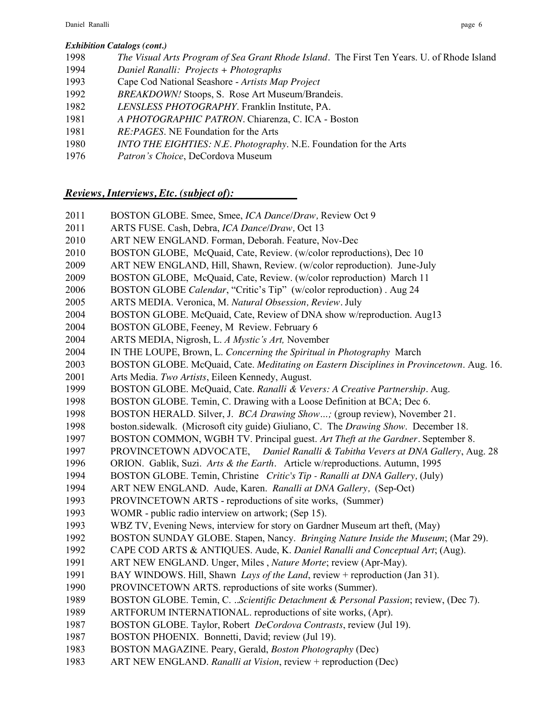#### *Exhibition Catalogs (cont.)*

- *The Visual Arts Program of Sea Grant Rhode Island.* The First Ten Years. U. of Rhode Island
- *Daniel Ranalli: Projects + Photographs*
- Cape Cod National Seashore *Artists Map Project*
- *BREAKDOWN!* Stoops, S. Rose Art Museum/Brandeis.
- *LENSLESS PHOTOGRAPHY*. Franklin Institute, PA.
- *A PHOTOGRAPHIC PATRON.* Chiarenza, C. ICA Boston
- *RE:PAGES*. NE Foundation for the Arts
- *INTO THE EIGHTIES: N.E. Photography*. N.E. Foundation for the Arts
- *Patron's Choice*, DeCordova Museum

# *Reviews, Interviews, Etc. (subject of):*

- BOSTON GLOBE. Smee, Smee, *ICA Dance/Draw,* Review Oct 9
- ARTS FUSE. Cash, Debra, *ICA Dance/Draw,* Oct 13
- ART NEW ENGLAND. Forman, Deborah. Feature, Nov-Dec
- BOSTON GLOBE, McQuaid, Cate, Review. (w/color reproductions), Dec 10
- ART NEW ENGLAND, Hill, Shawn, Review. (w/color reproduction). June-July
- BOSTON GLOBE, McQuaid, Cate, Review. (w/color reproduction) March 11
- BOSTON GLOBE *Calendar*, "Critic's Tip" (w/color reproduction) . Aug 24
- ARTS MEDIA. Veronica, M. *Natural Obsession, Review.* July
- BOSTON GLOBE. McQuaid, Cate, Review of DNA show w/reproduction. Aug13
- BOSTON GLOBE, Feeney, M Review. February 6
- ARTS MEDIA, Nigrosh, L. *A Mystic's Art,* November
- IN THE LOUPE, Brown, L. *Concerning the Spiritual in Photography* March
- BOSTON GLOBE. McQuaid, Cate. *Meditating on Eastern Disciplines in Provincetown*. Aug. 16.
- Arts Media. *Two Artists*, Eileen Kennedy, August.
- BOSTON GLOBE. McQuaid, Cate. *Ranalli & Vevers: A Creative Partnership.* Aug.
- 1998 BOSTON GLOBE. Temin, C. Drawing with a Loose Definition at BCA; Dec 6.
- BOSTON HERALD. Silver, J. *BCA Drawing Show…;* (group review), November 21.
- boston.sidewalk. (Microsoft city guide) Giuliano, C. The *Drawing Show*. December 18.
- BOSTON COMMON, WGBH TV. Principal guest. *Art Theft at the Gardner.* September 8.
- PROVINCETOWN ADVOCATE, *Daniel Ranalli & Tabitha Vevers at DNA Gallery*, Aug. 28
- ORION. Gablik, Suzi. *Arts & the Earth.* Article w/reproductions. Autumn, 1995
- BOSTON GLOBE. Temin, Christine *Critic's Tip - Ranalli at DNA Gallery,* (July)
- ART NEW ENGLAND. Aude, Karen. *Ranalli at DNA Gallery,* (Sep-Oct)
- PROVINCETOWN ARTS reproductions of site works, (Summer)
- WOMR public radio interview on artwork; (Sep 15).
- WBZ TV, Evening News, interview for story on Gardner Museum art theft, (May)
- 1992 BOSTON SUNDAY GLOBE. Stapen, Nancy. *Bringing Nature Inside the Museum*; (Mar 29).
- CAPE COD ARTS & ANTIQUES. Aude, K. *Daniel Ranalli and Conceptual Art*; (Aug).
- ART NEW ENGLAND. Unger, Miles , *Nature Morte*; review (Apr-May).
- BAY WINDOWS. Hill, Shawn *Lays of the Land*, review + reproduction (Jan 31).
- PROVINCETOWN ARTS. reproductions of site works (Summer).
- BOSTON GLOBE. Temin, C. *..Scientific Detachment & Personal Passion*; review, (Dec 7).
- ARTFORUM INTERNATIONAL. reproductions of site works, (Apr).
- BOSTON GLOBE. Taylor, Robert *DeCordova Contrasts*, review (Jul 19).
- BOSTON PHOENIX. Bonnetti, David; review (Jul 19).
- BOSTON MAGAZINE. Peary, Gerald, *Boston Photography* (Dec)
- ART NEW ENGLAND. *Ranalli at Vision*, review + reproduction (Dec)